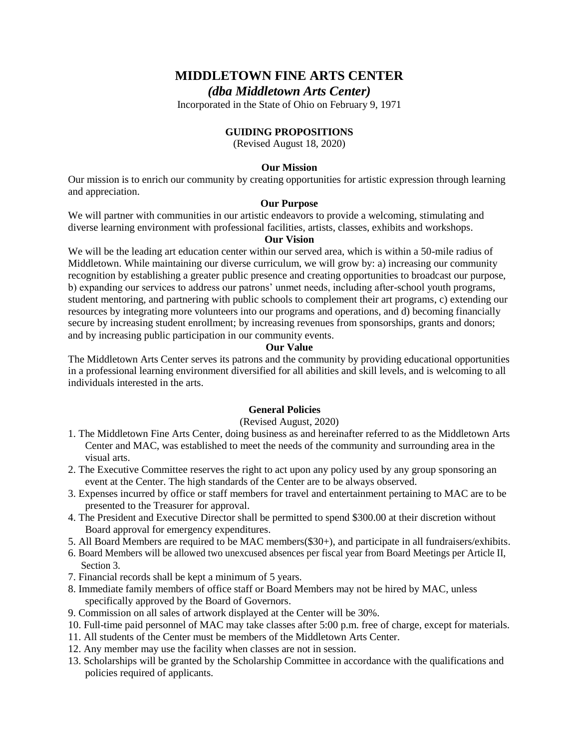# **MIDDLETOWN FINE ARTS CENTER**

*(dba Middletown Arts Center)*

Incorporated in the State of Ohio on February 9, 1971

### **GUIDING PROPOSITIONS**

(Revised August 18, 2020)

#### **Our Mission**

Our mission is to enrich our community by creating opportunities for artistic expression through learning and appreciation.

### **Our Purpose**

We will partner with communities in our artistic endeavors to provide a welcoming, stimulating and diverse learning environment with professional facilities, artists, classes, exhibits and workshops.

### **Our Vision**

We will be the leading art education center within our served area, which is within a 50-mile radius of Middletown. While maintaining our diverse curriculum, we will grow by: a) increasing our community recognition by establishing a greater public presence and creating opportunities to broadcast our purpose, b) expanding our services to address our patrons' unmet needs, including after-school youth programs, student mentoring, and partnering with public schools to complement their art programs, c) extending our resources by integrating more volunteers into our programs and operations, and d) becoming financially secure by increasing student enrollment; by increasing revenues from sponsorships, grants and donors; and by increasing public participation in our community events.

#### **Our Value**

The Middletown Arts Center serves its patrons and the community by providing educational opportunities in a professional learning environment diversified for all abilities and skill levels, and is welcoming to all individuals interested in the arts.

### **General Policies**

#### (Revised August, 2020)

- 1. The Middletown Fine Arts Center, doing business as and hereinafter referred to as the Middletown Arts Center and MAC, was established to meet the needs of the community and surrounding area in the visual arts.
- 2. The Executive Committee reserves the right to act upon any policy used by any group sponsoring an event at the Center. The high standards of the Center are to be always observed.
- 3. Expenses incurred by office or staff members for travel and entertainment pertaining to MAC are to be presented to the Treasurer for approval.
- 4. The President and Executive Director shall be permitted to spend \$300.00 at their discretion without Board approval for emergency expenditures.
- 5. All Board Members are required to be MAC members(\$30+), and participate in all fundraisers/exhibits.
- 6. Board Members will be allowed two unexcused absences per fiscal year from Board Meetings per Article II, Section 3.
- 7. Financial records shall be kept a minimum of 5 years.
- 8. Immediate family members of office staff or Board Members may not be hired by MAC, unless specifically approved by the Board of Governors.
- 9. Commission on all sales of artwork displayed at the Center will be 30%.
- 10. Full-time paid personnel of MAC may take classes after 5:00 p.m. free of charge, except for materials.
- 11. All students of the Center must be members of the Middletown Arts Center.
- 12. Any member may use the facility when classes are not in session.
- 13. Scholarships will be granted by the Scholarship Committee in accordance with the qualifications and policies required of applicants.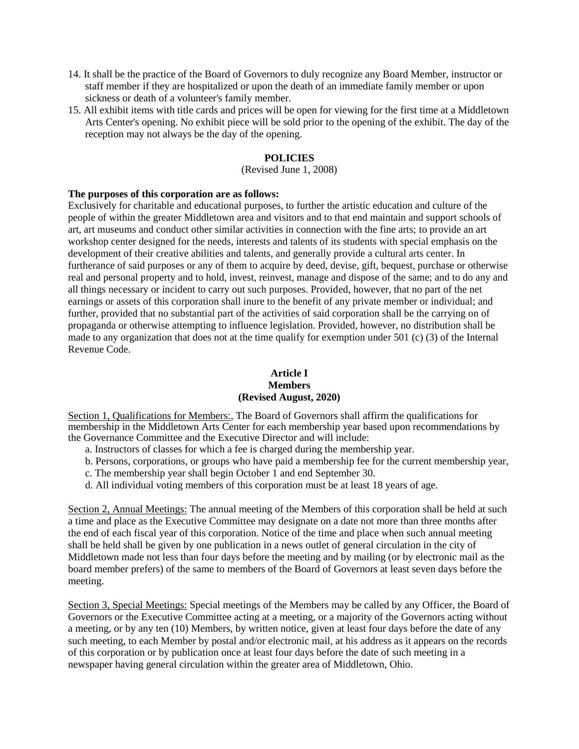- 14. It shall be the practice of the Board of Governors to duly recognize any Board Member, instructor or staff member if they are hospitalized or upon the death of an immediate family member or upon sickness or death of a volunteer's family member.
- 15. All exhibit items with title cards and prices will be open for viewing for the first time at a Middletown Arts Center's opening. No exhibit piece will be sold prior to the opening of the exhibit. The day of the reception may not always be the day of the opening.

### **POLICIES**

#### (Revised June 1, 2008)

#### **The purposes of this corporation are as follows:**

Exclusively for charitable and educational purposes, to further the artistic education and culture of the people of within the greater Middletown area and visitors and to that end maintain and support schools of art, art museums and conduct other similar activities in connection with the fine arts; to provide an art workshop center designed for the needs, interests and talents of its students with special emphasis on the development of their creative abilities and talents, and generally provide a cultural arts center. In furtherance of said purposes or any of them to acquire by deed, devise, gift, bequest, purchase or otherwise real and personal property and to hold, invest, reinvest, manage and dispose of the same; and to do any and all things necessary or incident to carry out such purposes. Provided, however, that no part of the net earnings or assets of this corporation shall inure to the benefit of any private member or individual; and further, provided that no substantial part of the activities of said corporation shall be the carrying on of propaganda or otherwise attempting to influence legislation. Provided, however, no distribution shall be made to any organization that does not at the time qualify for exemption under 501 (c) (3) of the Internal Revenue Code.

#### **Article I Members (Revised August, 2020)**

Section 1, Qualifications for Members:, The Board of Governors shall affirm the qualifications for membership in the Middletown Arts Center for each membership year based upon recommendations by the Governance Committee and the Executive Director and will include:

- a. Instructors of classes for which a fee is charged during the membership year.
- b. Persons, corporations, or groups who have paid a membership fee for the current membership year,
- c. The membership year shall begin October 1 and end September 30.
- d. All individual voting members of this corporation must be at least 18 years of age.

Section 2, Annual Meetings: The annual meeting of the Members of this corporation shall be held at such a time and place as the Executive Committee may designate on a date not more than three months after the end of each fiscal year of this corporation. Notice of the time and place when such annual meeting shall be held shall be given by one publication in a news outlet of general circulation in the city of Middletown made not less than four days before the meeting and by mailing (or by electronic mail as the board member prefers) of the same to members of the Board of Governors at least seven days before the meeting.

Section 3, Special Meetings: Special meetings of the Members may be called by any Officer, the Board of Governors or the Executive Committee acting at a meeting, or a majority of the Governors acting without a meeting, or by any ten (10) Members, by written notice, given at least four days before the date of any such meeting, to each Member by postal and/or electronic mail, at his address as it appears on the records of this corporation or by publication once at least four days before the date of such meeting in a newspaper having general circulation within the greater area of Middletown, Ohio.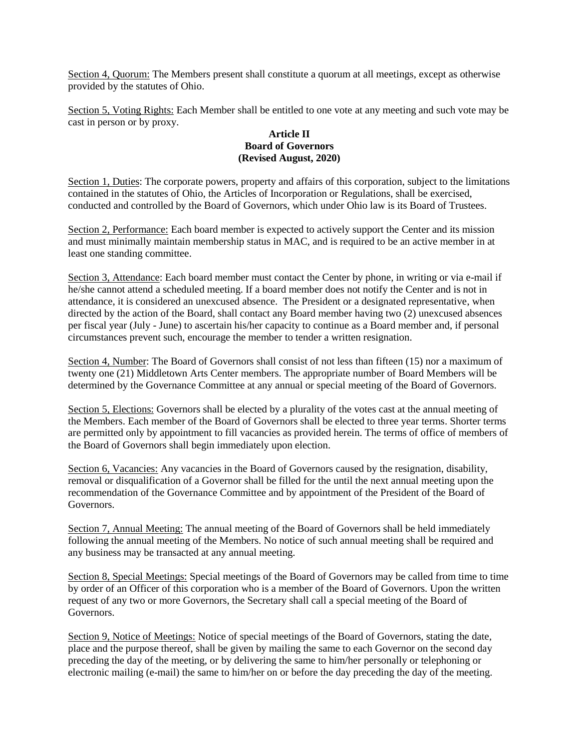Section 4, Quorum: The Members present shall constitute a quorum at all meetings, except as otherwise provided by the statutes of Ohio.

Section 5, Voting Rights: Each Member shall be entitled to one vote at any meeting and such vote may be cast in person or by proxy.

### **Article II Board of Governors (Revised August, 2020)**

Section 1, Duties: The corporate powers, property and affairs of this corporation, subject to the limitations contained in the statutes of Ohio, the Articles of Incorporation or Regulations, shall be exercised, conducted and controlled by the Board of Governors, which under Ohio law is its Board of Trustees.

Section 2, Performance: Each board member is expected to actively support the Center and its mission and must minimally maintain membership status in MAC, and is required to be an active member in at least one standing committee.

Section 3, Attendance: Each board member must contact the Center by phone, in writing or via e-mail if he/she cannot attend a scheduled meeting. If a board member does not notify the Center and is not in attendance, it is considered an unexcused absence. The President or a designated representative, when directed by the action of the Board, shall contact any Board member having two (2) unexcused absences per fiscal year (July - June) to ascertain his/her capacity to continue as a Board member and, if personal circumstances prevent such, encourage the member to tender a written resignation.

Section 4, Number: The Board of Governors shall consist of not less than fifteen (15) nor a maximum of twenty one (21) Middletown Arts Center members. The appropriate number of Board Members will be determined by the Governance Committee at any annual or special meeting of the Board of Governors.

Section 5, Elections: Governors shall be elected by a plurality of the votes cast at the annual meeting of the Members. Each member of the Board of Governors shall be elected to three year terms. Shorter terms are permitted only by appointment to fill vacancies as provided herein. The terms of office of members of the Board of Governors shall begin immediately upon election.

Section 6, Vacancies: Any vacancies in the Board of Governors caused by the resignation, disability, removal or disqualification of a Governor shall be filled for the until the next annual meeting upon the recommendation of the Governance Committee and by appointment of the President of the Board of Governors.

Section 7, Annual Meeting: The annual meeting of the Board of Governors shall be held immediately following the annual meeting of the Members. No notice of such annual meeting shall be required and any business may be transacted at any annual meeting.

Section 8, Special Meetings: Special meetings of the Board of Governors may be called from time to time by order of an Officer of this corporation who is a member of the Board of Governors. Upon the written request of any two or more Governors, the Secretary shall call a special meeting of the Board of Governors.

Section 9, Notice of Meetings: Notice of special meetings of the Board of Governors, stating the date, place and the purpose thereof, shall be given by mailing the same to each Governor on the second day preceding the day of the meeting, or by delivering the same to him/her personally or telephoning or electronic mailing (e-mail) the same to him/her on or before the day preceding the day of the meeting.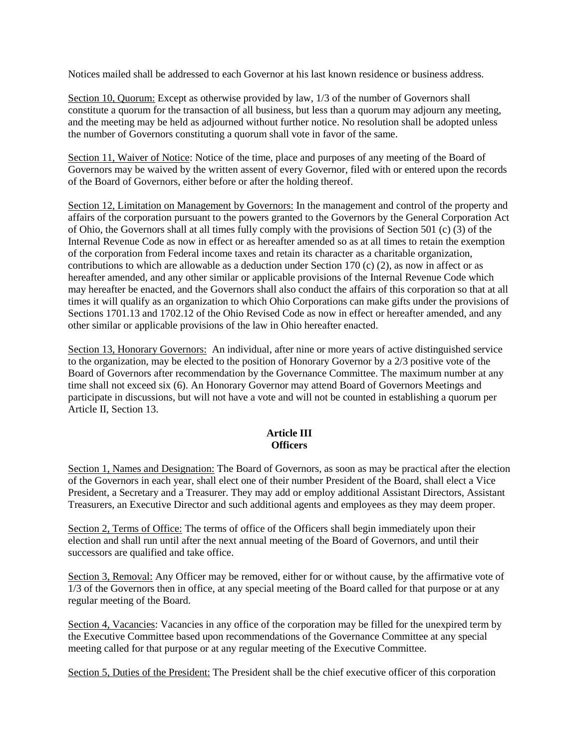Notices mailed shall be addressed to each Governor at his last known residence or business address.

Section 10, Quorum: Except as otherwise provided by law,  $1/3$  of the number of Governors shall constitute a quorum for the transaction of all business, but less than a quorum may adjourn any meeting, and the meeting may be held as adjourned without further notice. No resolution shall be adopted unless the number of Governors constituting a quorum shall vote in favor of the same.

Section 11, Waiver of Notice: Notice of the time, place and purposes of any meeting of the Board of Governors may be waived by the written assent of every Governor, filed with or entered upon the records of the Board of Governors, either before or after the holding thereof.

Section 12, Limitation on Management by Governors: In the management and control of the property and affairs of the corporation pursuant to the powers granted to the Governors by the General Corporation Act of Ohio, the Governors shall at all times fully comply with the provisions of Section 501 (c) (3) of the Internal Revenue Code as now in effect or as hereafter amended so as at all times to retain the exemption of the corporation from Federal income taxes and retain its character as a charitable organization, contributions to which are allowable as a deduction under Section 170 (c) (2), as now in affect or as hereafter amended, and any other similar or applicable provisions of the Internal Revenue Code which may hereafter be enacted, and the Governors shall also conduct the affairs of this corporation so that at all times it will qualify as an organization to which Ohio Corporations can make gifts under the provisions of Sections 1701.13 and 1702.12 of the Ohio Revised Code as now in effect or hereafter amended, and any other similar or applicable provisions of the law in Ohio hereafter enacted.

Section 13, Honorary Governors: An individual, after nine or more years of active distinguished service to the organization, may be elected to the position of Honorary Governor by a 2/3 positive vote of the Board of Governors after recommendation by the Governance Committee. The maximum number at any time shall not exceed six (6). An Honorary Governor may attend Board of Governors Meetings and participate in discussions, but will not have a vote and will not be counted in establishing a quorum per Article II, Section 13.

### **Article III Officers**

Section 1, Names and Designation: The Board of Governors, as soon as may be practical after the election of the Governors in each year, shall elect one of their number President of the Board, shall elect a Vice President, a Secretary and a Treasurer. They may add or employ additional Assistant Directors, Assistant Treasurers, an Executive Director and such additional agents and employees as they may deem proper.

Section 2, Terms of Office: The terms of office of the Officers shall begin immediately upon their election and shall run until after the next annual meeting of the Board of Governors, and until their successors are qualified and take office.

Section 3, Removal: Any Officer may be removed, either for or without cause, by the affirmative vote of 1/3 of the Governors then in office, at any special meeting of the Board called for that purpose or at any regular meeting of the Board.

Section 4, Vacancies: Vacancies in any office of the corporation may be filled for the unexpired term by the Executive Committee based upon recommendations of the Governance Committee at any special meeting called for that purpose or at any regular meeting of the Executive Committee.

Section 5, Duties of the President: The President shall be the chief executive officer of this corporation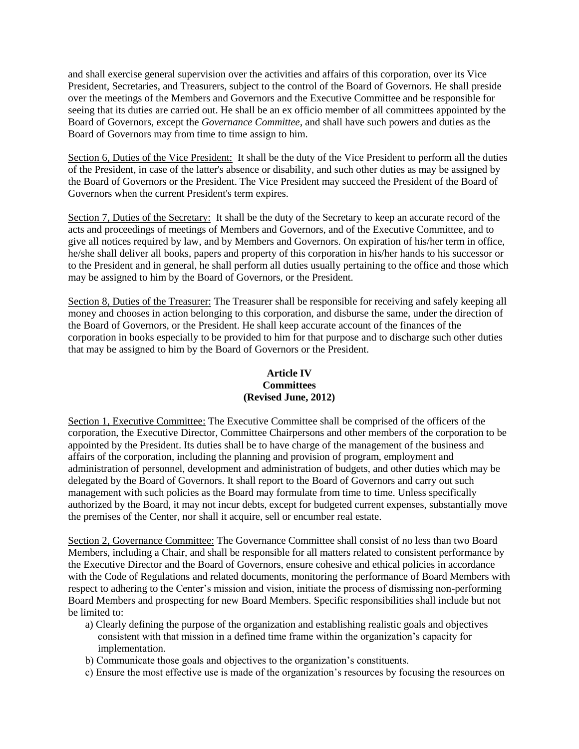and shall exercise general supervision over the activities and affairs of this corporation, over its Vice President, Secretaries, and Treasurers, subject to the control of the Board of Governors. He shall preside over the meetings of the Members and Governors and the Executive Committee and be responsible for seeing that its duties are carried out. He shall be an ex officio member of all committees appointed by the Board of Governors, except the *Governance Committee*, and shall have such powers and duties as the Board of Governors may from time to time assign to him.

Section 6, Duties of the Vice President: It shall be the duty of the Vice President to perform all the duties of the President, in case of the latter's absence or disability, and such other duties as may be assigned by the Board of Governors or the President. The Vice President may succeed the President of the Board of Governors when the current President's term expires.

Section 7, Duties of the Secretary: It shall be the duty of the Secretary to keep an accurate record of the acts and proceedings of meetings of Members and Governors, and of the Executive Committee, and to give all notices required by law, and by Members and Governors. On expiration of his/her term in office, he/she shall deliver all books, papers and property of this corporation in his/her hands to his successor or to the President and in general, he shall perform all duties usually pertaining to the office and those which may be assigned to him by the Board of Governors, or the President.

Section 8, Duties of the Treasurer: The Treasurer shall be responsible for receiving and safely keeping all money and chooses in action belonging to this corporation, and disburse the same, under the direction of the Board of Governors, or the President. He shall keep accurate account of the finances of the corporation in books especially to be provided to him for that purpose and to discharge such other duties that may be assigned to him by the Board of Governors or the President.

### **Article IV Committees (Revised June, 2012)**

Section 1, Executive Committee: The Executive Committee shall be comprised of the officers of the corporation, the Executive Director, Committee Chairpersons and other members of the corporation to be appointed by the President. Its duties shall be to have charge of the management of the business and affairs of the corporation, including the planning and provision of program, employment and administration of personnel, development and administration of budgets, and other duties which may be delegated by the Board of Governors. It shall report to the Board of Governors and carry out such management with such policies as the Board may formulate from time to time. Unless specifically authorized by the Board, it may not incur debts, except for budgeted current expenses, substantially move the premises of the Center, nor shall it acquire, sell or encumber real estate.

Section 2, Governance Committee: The Governance Committee shall consist of no less than two Board Members, including a Chair, and shall be responsible for all matters related to consistent performance by the Executive Director and the Board of Governors, ensure cohesive and ethical policies in accordance with the Code of Regulations and related documents, monitoring the performance of Board Members with respect to adhering to the Center's mission and vision, initiate the process of dismissing non-performing Board Members and prospecting for new Board Members. Specific responsibilities shall include but not be limited to:

- a) Clearly defining the purpose of the organization and establishing realistic goals and objectives consistent with that mission in a defined time frame within the organization's capacity for implementation.
- b) Communicate those goals and objectives to the organization's constituents.
- c) Ensure the most effective use is made of the organization's resources by focusing the resources on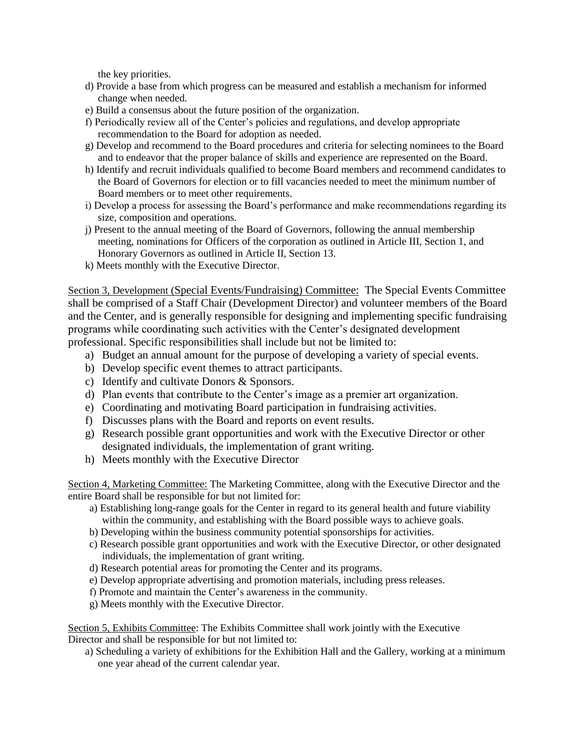the key priorities.

- d) Provide a base from which progress can be measured and establish a mechanism for informed change when needed.
- e) Build a consensus about the future position of the organization.
- f) Periodically review all of the Center's policies and regulations, and develop appropriate recommendation to the Board for adoption as needed.
- g) Develop and recommend to the Board procedures and criteria for selecting nominees to the Board and to endeavor that the proper balance of skills and experience are represented on the Board.
- h) Identify and recruit individuals qualified to become Board members and recommend candidates to the Board of Governors for election or to fill vacancies needed to meet the minimum number of Board members or to meet other requirements.
- i) Develop a process for assessing the Board's performance and make recommendations regarding its size, composition and operations.
- j) Present to the annual meeting of the Board of Governors, following the annual membership meeting, nominations for Officers of the corporation as outlined in Article III, Section 1, and Honorary Governors as outlined in Article II, Section 13.
- k) Meets monthly with the Executive Director.

Section 3, Development (Special Events/Fundraising) Committee: The Special Events Committee shall be comprised of a Staff Chair (Development Director) and volunteer members of the Board and the Center, and is generally responsible for designing and implementing specific fundraising programs while coordinating such activities with the Center's designated development professional. Specific responsibilities shall include but not be limited to:

- a) Budget an annual amount for the purpose of developing a variety of special events.
- b) Develop specific event themes to attract participants.
- c) Identify and cultivate Donors & Sponsors.
- d) Plan events that contribute to the Center's image as a premier art organization.
- e) Coordinating and motivating Board participation in fundraising activities.
- f) Discusses plans with the Board and reports on event results.
- g) Research possible grant opportunities and work with the Executive Director or other designated individuals, the implementation of grant writing.
- h) Meets monthly with the Executive Director

Section 4, Marketing Committee: The Marketing Committee, along with the Executive Director and the entire Board shall be responsible for but not limited for:

- a) Establishing long-range goals for the Center in regard to its general health and future viability within the community, and establishing with the Board possible ways to achieve goals.
- b) Developing within the business community potential sponsorships for activities.
- c) Research possible grant opportunities and work with the Executive Director, or other designated individuals, the implementation of grant writing.
- d) Research potential areas for promoting the Center and its programs.
- e) Develop appropriate advertising and promotion materials, including press releases.
- f) Promote and maintain the Center's awareness in the community.
- g) Meets monthly with the Executive Director.

Section 5, Exhibits Committee: The Exhibits Committee shall work jointly with the Executive Director and shall be responsible for but not limited to:

a) Scheduling a variety of exhibitions for the Exhibition Hall and the Gallery, working at a minimum one year ahead of the current calendar year.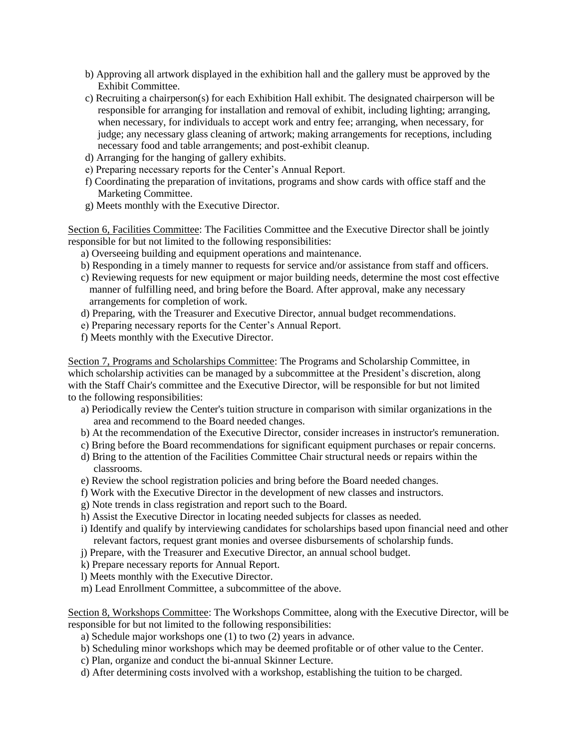- b) Approving all artwork displayed in the exhibition hall and the gallery must be approved by the Exhibit Committee.
- c) Recruiting a chairperson(s) for each Exhibition Hall exhibit. The designated chairperson will be responsible for arranging for installation and removal of exhibit, including lighting; arranging, when necessary, for individuals to accept work and entry fee; arranging, when necessary, for judge; any necessary glass cleaning of artwork; making arrangements for receptions, including necessary food and table arrangements; and post-exhibit cleanup.
- d) Arranging for the hanging of gallery exhibits.
- e) Preparing necessary reports for the Center's Annual Report.
- f) Coordinating the preparation of invitations, programs and show cards with office staff and the Marketing Committee.
- g) Meets monthly with the Executive Director.

Section 6, Facilities Committee: The Facilities Committee and the Executive Director shall be jointly responsible for but not limited to the following responsibilities:

- a) Overseeing building and equipment operations and maintenance.
- b) Responding in a timely manner to requests for service and/or assistance from staff and officers.
- c) Reviewing requests for new equipment or major building needs, determine the most cost effective manner of fulfilling need, and bring before the Board. After approval, make any necessary arrangements for completion of work.
- d) Preparing, with the Treasurer and Executive Director, annual budget recommendations.
- e) Preparing necessary reports for the Center's Annual Report.
- f) Meets monthly with the Executive Director.

Section 7, Programs and Scholarships Committee: The Programs and Scholarship Committee, in which scholarship activities can be managed by a subcommittee at the President's discretion, along with the Staff Chair's committee and the Executive Director, will be responsible for but not limited to the following responsibilities:

- a) Periodically review the Center's tuition structure in comparison with similar organizations in the area and recommend to the Board needed changes.
- b) At the recommendation of the Executive Director, consider increases in instructor's remuneration.
- c) Bring before the Board recommendations for significant equipment purchases or repair concerns.
- d) Bring to the attention of the Facilities Committee Chair structural needs or repairs within the classrooms.
- e) Review the school registration policies and bring before the Board needed changes.
- f) Work with the Executive Director in the development of new classes and instructors.
- g) Note trends in class registration and report such to the Board.
- h) Assist the Executive Director in locating needed subjects for classes as needed.
- i) Identify and qualify by interviewing candidates for scholarships based upon financial need and other relevant factors, request grant monies and oversee disbursements of scholarship funds.
- j) Prepare, with the Treasurer and Executive Director, an annual school budget.
- k) Prepare necessary reports for Annual Report.
- l) Meets monthly with the Executive Director.
- m) Lead Enrollment Committee, a subcommittee of the above.

Section 8, Workshops Committee: The Workshops Committee, along with the Executive Director, will be responsible for but not limited to the following responsibilities:

- a) Schedule major workshops one (1) to two (2) years in advance.
- b) Scheduling minor workshops which may be deemed profitable or of other value to the Center.
- c) Plan, organize and conduct the bi-annual Skinner Lecture.
- d) After determining costs involved with a workshop, establishing the tuition to be charged.